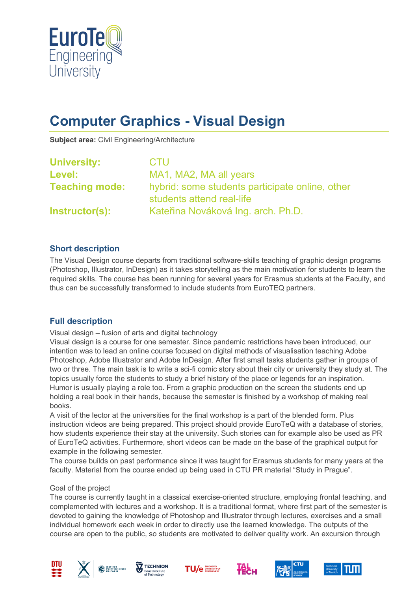

# **Computer Graphics - Visual Design**

**Subject area:** Civil Engineering/Architecture

| <b>University:</b>    | <b>CTU</b>                                                                   |
|-----------------------|------------------------------------------------------------------------------|
| Level:                | MA1, MA2, MA all years                                                       |
| <b>Teaching mode:</b> | hybrid: some students participate online, other<br>students attend real-life |
| Instructor(s):        | Kateřina Nováková Ing. arch. Ph.D.                                           |

## **Short description**

The Visual Design course departs from traditional software-skills teaching of graphic design programs (Photoshop, Illustrator, InDesign) as it takes storytelling as the main motivation for students to learn the required skills. The course has been running for several years for Erasmus students at the Faculty, and thus can be successfully transformed to include students from EuroTEQ partners.

#### **Full description**

Visual design – fusion of arts and digital technology

Visual design is a course for one semester. Since pandemic restrictions have been introduced, our intention was to lead an online course focused on digital methods of visualisation teaching Adobe Photoshop, Adobe Illustrator and Adobe InDesign. After first small tasks students gather in groups of two or three. The main task is to write a sci-fi comic story about their city or university they study at. The topics usually force the students to study a brief history of the place or legends for an inspiration. Humor is usually playing a role too. From a graphic production on the screen the students end up holding a real book in their hands, because the semester is finished by a workshop of making real books.

A visit of the lector at the universities for the final workshop is a part of the blended form. Plus instruction videos are being prepared. This project should provide EuroTeQ with a database of stories, how students experience their stay at the university. Such stories can for example also be used as PR of EuroTeQ activities. Furthermore, short videos can be made on the base of the graphical output for example in the following semester.

The course builds on past performance since it was taught for Erasmus students for many years at the faculty. Material from the course ended up being used in CTU PR material "Study in Prague".

#### Goal of the project

The course is currently taught in a classical exercise-oriented structure, employing frontal teaching, and complemented with lectures and a workshop. It is a traditional format, where first part of the semester is devoted to gaining the knowledge of Photoshop and Illustrator through lectures, exercises and a small individual homework each week in order to directly use the learned knowledge. The outputs of the course are open to the public, so students are motivated to deliver quality work. An excursion through













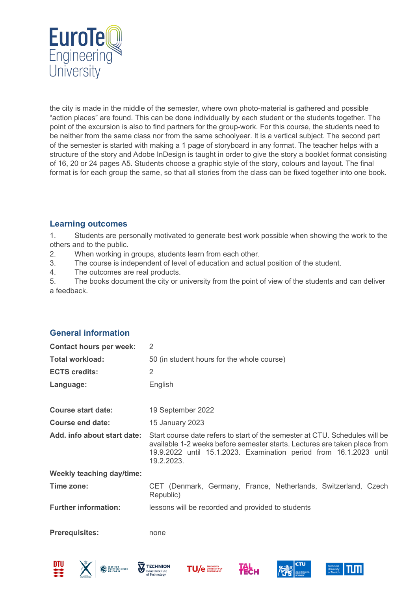

the city is made in the middle of the semester, where own photo-material is gathered and possible "action places" are found. This can be done individually by each student or the students together. The point of the excursion is also to find partners for the group-work. For this course, the students need to be neither from the same class nor from the same schoolyear. It is a vertical subject. The second part of the semester is started with making a 1 page of storyboard in any format. The teacher helps with a structure of the story and Adobe InDesign is taught in order to give the story a booklet format consisting of 16, 20 or 24 pages A5. Students choose a graphic style of the story, colours and layout. The final format is for each group the same, so that all stories from the class can be fixed together into one book.

# **Learning outcomes**

1. Students are personally motivated to generate best work possible when showing the work to the others and to the public.

- 2. When working in groups, students learn from each other.
- 3. The course is independent of level of education and actual position of the student.
- 4. The outcomes are real products.

5. The books document the city or university from the point of view of the students and can deliver a feedback.

# **General information**

| <b>Contact hours per week:</b>   | $\overline{2}$                                                                                                                                                                                                                               |
|----------------------------------|----------------------------------------------------------------------------------------------------------------------------------------------------------------------------------------------------------------------------------------------|
| <b>Total workload:</b>           | 50 (in student hours for the whole course)                                                                                                                                                                                                   |
| <b>ECTS credits:</b>             | 2                                                                                                                                                                                                                                            |
| Language:                        | English                                                                                                                                                                                                                                      |
| <b>Course start date:</b>        | 19 September 2022                                                                                                                                                                                                                            |
| Course end date:                 | 15 January 2023                                                                                                                                                                                                                              |
| Add. info about start date:      | Start course date refers to start of the semester at CTU. Schedules will be<br>available 1-2 weeks before semester starts. Lectures are taken place from<br>19.9.2022 until 15.1.2023. Examination period from 16.1.2023 until<br>19.2.2023. |
| <b>Weekly teaching day/time:</b> |                                                                                                                                                                                                                                              |
| Time zone:                       | CET (Denmark, Germany, France, Netherlands, Switzerland, Czech<br>Republic)                                                                                                                                                                  |
| <b>Further information:</b>      | lessons will be recorded and provided to students                                                                                                                                                                                            |
| <b>Prerequisites:</b>            | none                                                                                                                                                                                                                                         |









HECH